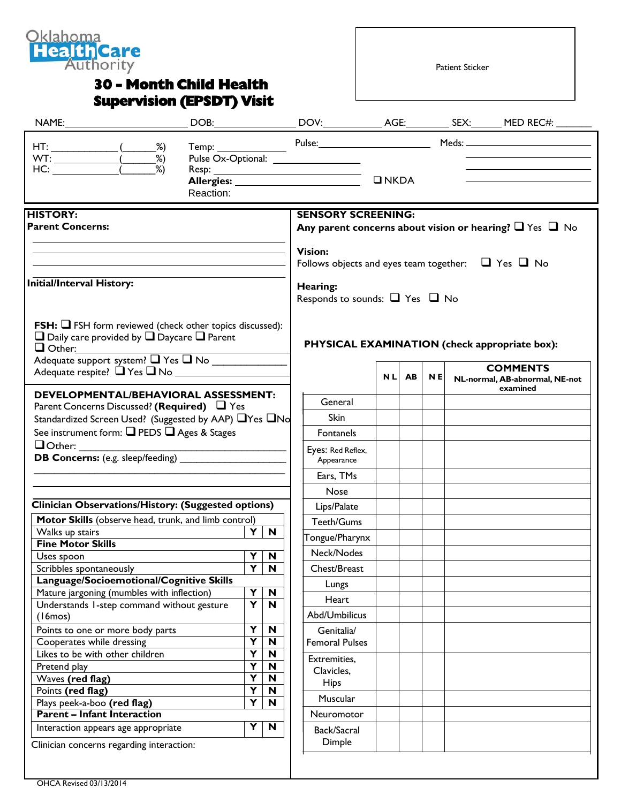

## **30 - Month Child Health Supervision (EPSDT) Visit**

Patient Sticker

|                                                                                                                                                                                                                                   |           |                         |                                                                                                |                                                                                |  |       |           |  | Temp: Pulse: Pulse: Meds: Meds: Meds: News 1997                  |
|-----------------------------------------------------------------------------------------------------------------------------------------------------------------------------------------------------------------------------------|-----------|-------------------------|------------------------------------------------------------------------------------------------|--------------------------------------------------------------------------------|--|-------|-----------|--|------------------------------------------------------------------|
|                                                                                                                                                                                                                                   | Reaction: |                         |                                                                                                | $\n  INKDA\n$                                                                  |  |       |           |  |                                                                  |
| <b>HISTORY:</b><br><b>Parent Concerns:</b>                                                                                                                                                                                        |           |                         | <b>SENSORY SCREENING:</b><br>Any parent concerns about vision or hearing? $\Box$ Yes $\Box$ No |                                                                                |  |       |           |  |                                                                  |
|                                                                                                                                                                                                                                   |           |                         |                                                                                                | <b>Vision:</b><br>Follows objects and eyes team together: $\Box$ Yes $\Box$ No |  |       |           |  |                                                                  |
| Initial/Interval History:                                                                                                                                                                                                         |           |                         |                                                                                                | Hearing:<br>Responds to sounds: $\Box$ Yes $\Box$ No                           |  |       |           |  |                                                                  |
| <b>FSH:</b> $\Box$ FSH form reviewed (check other topics discussed):<br>$\Box$ Daily care provided by $\Box$ Daycare $\Box$ Parent<br>$\Box$ Other:<br>Adequate support system? The TNo<br>Adequate respite? $\Box$ Yes $\Box$ No |           |                         |                                                                                                |                                                                                |  |       |           |  | PHYSICAL EXAMINATION (check appropriate box):<br><b>COMMENTS</b> |
| <b>DEVELOPMENTAL/BEHAVIORAL ASSESSMENT:</b>                                                                                                                                                                                       |           |                         |                                                                                                |                                                                                |  | NL AB | <b>NE</b> |  | NL-normal, AB-abnormal, NE-not<br>examined                       |
| Parent Concerns Discussed? (Required) $\Box$ Yes                                                                                                                                                                                  |           |                         |                                                                                                | General                                                                        |  |       |           |  |                                                                  |
| Standardized Screen Used? (Suggested by AAP) □ Yes □ No                                                                                                                                                                           |           |                         |                                                                                                | Skin                                                                           |  |       |           |  |                                                                  |
| See instrument form: $\Box$ PEDS $\Box$ Ages & Stages                                                                                                                                                                             |           |                         |                                                                                                | <b>Fontanels</b>                                                               |  |       |           |  |                                                                  |
|                                                                                                                                                                                                                                   |           |                         |                                                                                                | Eyes: Red Reflex,<br>Appearance                                                |  |       |           |  |                                                                  |
|                                                                                                                                                                                                                                   |           |                         |                                                                                                | Ears, TMs                                                                      |  |       |           |  |                                                                  |
|                                                                                                                                                                                                                                   |           |                         |                                                                                                | Nose                                                                           |  |       |           |  |                                                                  |
|                                                                                                                                                                                                                                   |           |                         |                                                                                                |                                                                                |  |       |           |  |                                                                  |
| <b>Clinician Observations/History: (Suggested options)</b>                                                                                                                                                                        |           |                         |                                                                                                | Lips/Palate                                                                    |  |       |           |  |                                                                  |
| Motor Skills (observe head, trunk, and limb control)                                                                                                                                                                              |           | Y.                      |                                                                                                | Teeth/Gums                                                                     |  |       |           |  |                                                                  |
| Walks up stairs<br><b>Fine Motor Skills</b>                                                                                                                                                                                       |           |                         | $\mathbf N$                                                                                    | Tongue/Pharynx                                                                 |  |       |           |  |                                                                  |
| Uses spoon                                                                                                                                                                                                                        |           |                         | Y N                                                                                            | Neck/Nodes                                                                     |  |       |           |  |                                                                  |
| Scribbles spontaneously                                                                                                                                                                                                           |           | $\overline{\mathbf{Y}}$ | $\mathbf N$                                                                                    | Chest/Breast                                                                   |  |       |           |  |                                                                  |
| Language/Socioemotional/Cognitive Skills                                                                                                                                                                                          |           |                         |                                                                                                | Lungs                                                                          |  |       |           |  |                                                                  |
| Mature jargoning (mumbles with inflection)                                                                                                                                                                                        |           | Y                       | N                                                                                              |                                                                                |  |       |           |  |                                                                  |
| Understands 1-step command without gesture                                                                                                                                                                                        |           | $\overline{\mathbf{Y}}$ | N                                                                                              | Heart                                                                          |  |       |           |  |                                                                  |
| (16m)                                                                                                                                                                                                                             |           |                         |                                                                                                | Abd/Umbilicus                                                                  |  |       |           |  |                                                                  |
| Points to one or more body parts                                                                                                                                                                                                  |           | Y                       | $\boldsymbol{\mathsf{N}}$                                                                      | Genitalia/                                                                     |  |       |           |  |                                                                  |
| Cooperates while dressing                                                                                                                                                                                                         |           | Y                       | N                                                                                              | <b>Femoral Pulses</b>                                                          |  |       |           |  |                                                                  |
| Likes to be with other children                                                                                                                                                                                                   |           | Y                       | $\boldsymbol{\mathsf{N}}$                                                                      | Extremities,                                                                   |  |       |           |  |                                                                  |
| Pretend play                                                                                                                                                                                                                      |           | Y                       | N                                                                                              | Clavicles,                                                                     |  |       |           |  |                                                                  |
| Waves (red flag)                                                                                                                                                                                                                  |           | Y                       | N                                                                                              | <b>Hips</b>                                                                    |  |       |           |  |                                                                  |
| Points (red flag)                                                                                                                                                                                                                 |           | Y                       | N                                                                                              | Muscular                                                                       |  |       |           |  |                                                                  |
|                                                                                                                                                                                                                                   |           | Y                       | $\boldsymbol{\mathsf{N}}$                                                                      |                                                                                |  |       |           |  |                                                                  |
| Plays peek-a-boo (red flag)                                                                                                                                                                                                       |           |                         |                                                                                                |                                                                                |  |       |           |  |                                                                  |
| <b>Parent - Infant Interaction</b><br>Interaction appears age appropriate                                                                                                                                                         |           | Y                       | $\boldsymbol{\mathsf{N}}$                                                                      | Neuromotor<br>Back/Sacral                                                      |  |       |           |  |                                                                  |